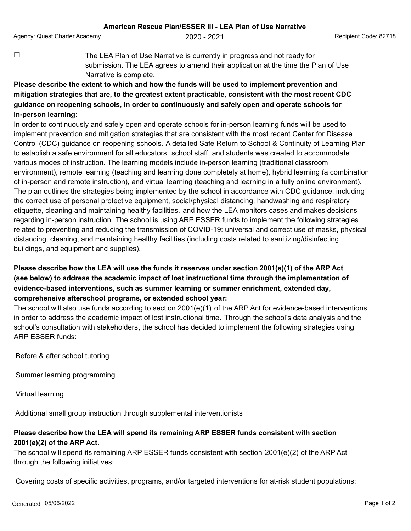Agency: Quest Charter Academy **2020 - 2021** Agency: Quest Code: 82718

 $\Box$  The LEA Plan of Use Narrative is currently in progress and not ready for submission. The LEA agrees to amend their application at the time the Plan of Use Narrative is complete.

## **Please describe the extent to which and how the funds will be used to implement prevention and mitigation strategies that are, to the greatest extent practicable, consistent with the most recent CDC guidance on reopening schools, in order to continuously and safely open and operate schools for in-person learning:**

In order to continuously and safely open and operate schools for in-person learning funds will be used to implement prevention and mitigation strategies that are consistent with the most recent Center for Disease Control (CDC) guidance on reopening schools. A detailed Safe Return to School & Continuity of Learning Plan to establish a safe environment for all educators, school staff, and students was created to accommodate various modes of instruction. The learning models include in-person learning (traditional classroom environment), remote learning (teaching and learning done completely at home), hybrid learning (a combination of in-person and remote instruction), and virtual learning (teaching and learning in a fully online environment). The plan outlines the strategies being implemented by the school in accordance with CDC guidance, including the correct use of personal protective equipment, social/physical distancing, handwashing and respiratory etiquette, cleaning and maintaining healthy facilities, and how the LEA monitors cases and makes decisions regarding in-person instruction. The school is using ARP ESSER funds to implement the following strategies related to preventing and reducing the transmission of COVID-19: universal and correct use of masks, physical distancing, cleaning, and maintaining healthy facilities (including costs related to sanitizing/disinfecting buildings, and equipment and supplies).

## **Please describe how the LEA will use the funds it reserves under section 2001(e)(1) of the ARP Act (see below) to address the academic impact of lost instructional time through the implementation of evidence-based interventions, such as summer learning or summer enrichment, extended day, comprehensive afterschool programs, or extended school year:**

The school will also use funds according to section 2001(e)(1) of the ARP Act for evidence-based interventions in order to address the academic impact of lost instructional time. Through the school's data analysis and the school's consultation with stakeholders, the school has decided to implement the following strategies using ARP ESSER funds:

Before & after school tutoring

Summer learning programming

Virtual learning

Additional small group instruction through supplemental interventionists

## **Please describe how the LEA will spend its remaining ARP ESSER funds consistent with section 2001(e)(2) of the ARP Act.**

The school will spend its remaining ARP ESSER funds consistent with section 2001(e)(2) of the ARP Act through the following initiatives:

Covering costs of specific activities, programs, and/or targeted interventions for at-risk student populations;